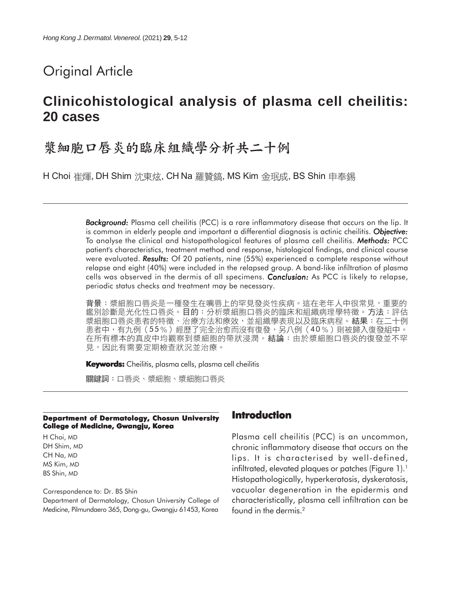# Original Article

# **Clinicohistological analysis of plasma cell cheilitis: 20 cases**

# 漿細胞口唇炎的臨床組織學分析共二十例

H Choi 崔煇, DH Shim 沈東炫, CH Na 羅贊鎬, MS Kim 金珉成, BS Shin 申奉錫

*Background: Background:* Plasma cell cheilitis (PCC) is a rare inflammatory disease that occurs on the lip. It is common in elderly people and important a differential diagnosis is actinic cheilitis. **Objective:** To analyse the clinical and histopathological features of plasma cell cheilitis. *Methods: Methods:* PCC patient's characteristics, treatment method and response, histological findings, and clinical course were evaluated. *Results: Results:* Of 20 patients, nine (55%) experienced a complete response without relapse and eight (40%) were included in the relapsed group. A band-like infiltration of plasma cells was observed in the dermis of all specimens. *Conclusion: Conclusion:* As PCC is likely to relapse, periodic status checks and treatment may be necessary.

背景:漿細胞口唇炎是一種發生在嘴唇上的罕見發炎性疾病。這在老年人中很常見,重要的 鑑別診斷是光化性口唇炎。目的:分析漿細胞口唇炎的臨床和組織病理學特徵。方法:評估 浆細胞口唇炎患者的特徵、治療方法和療效,並組織學表現以及臨床病程。結果:在二十例 患者中,有九例(55%)經歷了完全治愈而沒有復發,另八例(40%)則被歸入復發組中。 在所有標本的真皮中均觀察到漿細胞的帶狀浸潤。結論:由於漿細胞口唇炎的復發並不罕 見,因此有需要定期檢查狀況並治療。

**Keywords:** Cheilitis, plasma cells, plasma cell cheilitis

關鍵詞:口唇炎、漿細胞、漿細胞口唇炎

#### **Department of Dermatology, Chosun University College of Medicine, Gwangju, Korea**

H Choi, MD DH Shim, MD CH Na, MD MS Kim, MD BS Shin, MD

#### Correspondence to: Dr. BS Shin

Department of Dermatology, Chosun University College of Medicine, Pilmundaero 365, Dong-gu, Gwangju 61453, Korea

## **Introduction**

Plasma cell cheilitis (PCC) is an uncommon, chronic inflammatory disease that occurs on the lips. It is characterised by well-defined, infiltrated, elevated plaques or patches (Figure 1).<sup>1</sup> Histopathologically, hyperkeratosis, dyskeratosis, vacuolar degeneration in the epidermis and characteristically, plasma cell infiltration can be found in the dermis.<sup>2</sup>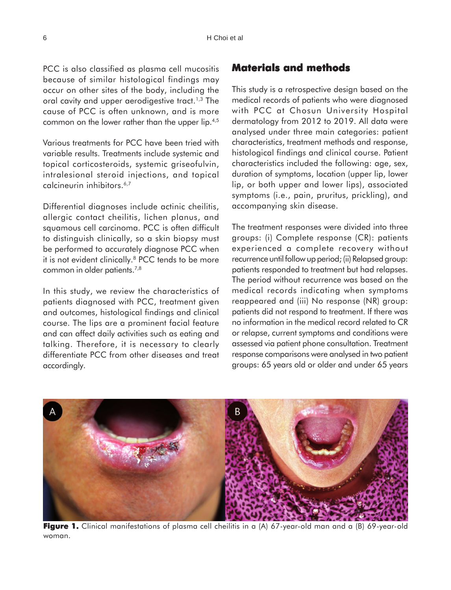PCC is also classified as plasma cell mucositis because of similar histological findings may occur on other sites of the body, including the oral cavity and upper aerodigestive tract.<sup>1,3</sup> The cause of PCC is often unknown, and is more common on the lower rather than the upper lip.4,5

Various treatments for PCC have been tried with variable results. Treatments include systemic and topical corticosteroids, systemic griseofulvin, intralesional steroid injections, and topical calcineurin inhibitors.6,7

Differential diagnoses include actinic cheilitis, allergic contact cheilitis, lichen planus, and squamous cell carcinoma. PCC is often difficult to distinguish clinically, so a skin biopsy must be performed to accurately diagnose PCC when it is not evident clinically.<sup>8</sup> PCC tends to be more common in older patients.7,8

In this study, we review the characteristics of patients diagnosed with PCC, treatment given and outcomes, histological findings and clinical course. The lips are a prominent facial feature and can affect daily activities such as eating and talking. Therefore, it is necessary to clearly differentiate PCC from other diseases and treat accordingly.

## **Materials and methods**

This study is a retrospective design based on the medical records of patients who were diagnosed with PCC at Chosun University Hospital dermatology from 2012 to 2019. All data were analysed under three main categories: patient characteristics, treatment methods and response, histological findings and clinical course. Patient characteristics included the following: age, sex, duration of symptoms, location (upper lip, lower lip, or both upper and lower lips), associated symptoms (i.e., pain, pruritus, prickling), and accompanying skin disease.

The treatment responses were divided into three groups: (i) Complete response (CR): patients experienced a complete recovery without recurrence until follow up period; (ii) Relapsed group: patients responded to treatment but had relapses. The period without recurrence was based on the medical records indicating when symptoms reappeared and (iii) No response (NR) group: patients did not respond to treatment. If there was no information in the medical record related to CR or relapse, current symptoms and conditions were assessed via patient phone consultation. Treatment response comparisons were analysed in two patient groups: 65 years old or older and under 65 years



Figure 1. Clinical manifestations of plasma cell cheilitis in a (A) 67-year-old man and a (B) 69-year-old woman.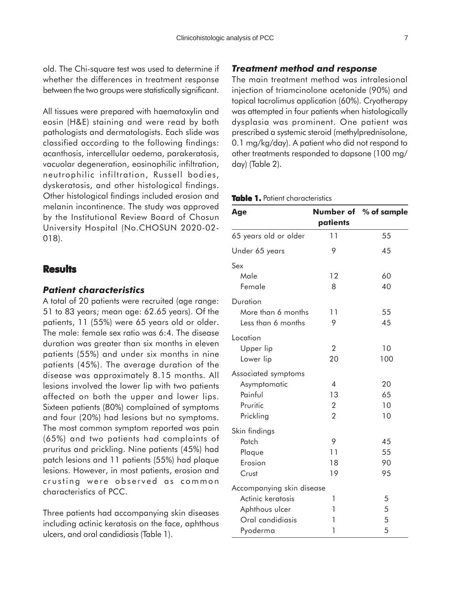old. The Chi-square test was used to determine if whether the differences in treatment response between the two groups were statistically significant.

All tissues were prepared with haematoxylin and eosin (H&E) staining and were read by both pathologists and dermatologists. Each slide was classified according to the following findings: acanthosis, intercellular oedema, parakeratosis, vacuolar degeneration, eosinophilic infiltration, neutrophilic infiltration, Russell bodies, dyskeratosis, and other histological findings. Other histological findings included erosion and melanin incontinence. The study was approved by the Institutional Review Board of Chosun University Hospital (No.CHOSUN 2020-02- 018).

## **Results**

### *Patient characteristics*

A total of 20 patients were recruited (age range: 51 to 83 years; mean age: 62.65 years). Of the patients, 11 (55%) were 65 years old or older. The male: female sex ratio was 6:4. The disease duration was greater than six months in eleven patients (55%) and under six months in nine patients (45%). The average duration of the disease was approximately 8.15 months. All lesions involved the lower lip with two patients affected on both the upper and lower lips. Sixteen patients (80%) complained of symptoms and four (20%) had lesions but no symptoms. The most common symptom reported was pain (65%) and two patients had complaints of pruritus and prickling. Nine patients (45%) had patch lesions and 11 patients (55%) had plaque lesions. However, in most patients, erosion and crusting were observed as common characteristics of PCC.

Three patients had accompanying skin diseases including actinic keratosis on the face, aphthous ulcers, and oral candidiasis (Table 1).

### *Treatment method and response*

The main treatment method was intralesional injection of triamcinolone acetonide (90%) and topical tacrolimus application (60%). Cryotherapy was attempted in four patients when histologically dysplasia was prominent. One patient was prescribed a systemic steroid (methylprednisolone, 0.1 mg/kg/day). A patient who did not respond to other treatments responded to dapsone (100 mg/ day) (Table 2).

#### **Table 1.** Patient characteristics

| Age                                                                                              | patients                                                           | Number of % of sample |
|--------------------------------------------------------------------------------------------------|--------------------------------------------------------------------|-----------------------|
| 65 years old or older                                                                            | 11                                                                 | 55                    |
| Under 65 years                                                                                   | 9                                                                  | 45                    |
| Sex<br>Male<br>Female                                                                            | 12<br>8                                                            | 60<br>40              |
| Duration<br>More than 6 months<br>Less than 6 months                                             | 11<br>9                                                            | 55<br>45              |
| Location<br>Upper lip<br>Lower lip                                                               | $\overline{2}$<br>20                                               | 10<br>100             |
| Associated symptoms<br>Asymptomatic<br>Painful<br>Pruritic<br>Prickling                          | $\overline{\mathcal{A}}$<br>13<br>$\overline{2}$<br>$\overline{2}$ | 20<br>65<br>10<br>10  |
| Skin findings<br>Patch<br>Plaque<br>Erosion<br>Crust                                             | 9<br>11<br>18<br>19                                                | 45<br>55<br>90<br>95  |
| Accompanying skin disease<br>Actinic keratosis<br>Aphthous ulcer<br>Oral candidiasis<br>Pyoderma | 1<br>1<br>1<br>1                                                   | 5<br>5<br>5<br>5      |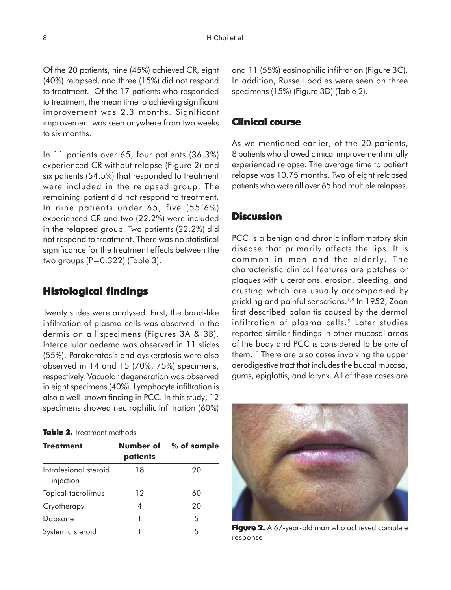Of the 20 patients, nine (45%) achieved CR, eight (40%) relapsed, and three (15%) did not respond to treatment. Of the 17 patients who responded to treatment, the mean time to achieving significant improvement was 2.3 months. Significant improvement was seen anywhere from two weeks to six months.

In 11 patients over 65, four patients (36.3%) experienced CR without relapse (Figure 2) and six patients (54.5%) that responded to treatment were included in the relapsed group. The remaining patient did not respond to treatment. In nine patients under 65, five (55.6%) experienced CR and two (22.2%) were included in the relapsed group. Two patients (22.2%) did not respond to treatment. There was no statistical significance for the treatment effects between the two groups  $(P=0.322)$  (Table 3).

## **Histological findings**

Twenty slides were analysed. First, the band-like infiltration of plasma cells was observed in the dermis on all specimens (Figures 3A & 3B). Intercellular oedema was observed in 11 slides (55%). Parakeratosis and dyskeratosis were also observed in 14 and 15 (70%, 75%) specimens, respectively. Vacuolar degeneration was observed in eight specimens (40%). Lymphocyte infiltration is also a well-known finding in PCC. In this study, 12 specimens showed neutrophilic infiltration (60%)

#### **Table 2.** Treatment methods

| <b>Treatment</b>                   | Number of<br>patients | % of sample |
|------------------------------------|-----------------------|-------------|
| Intralesional steroid<br>injection | 18                    | 90          |
| Topical tacrolimus                 | 12                    | 60          |
| Cryotherapy                        | 4                     | 20          |
| Dapsone                            |                       | 5           |
| Systemic steroid                   |                       | 5           |

and 11 (55%) eosinophilic infiltration (Figure 3C). In addition, Russell bodies were seen on three specimens (15%) (Figure 3D) (Table 2).

## **Clinical course**

As we mentioned earlier, of the 20 patients, 8 patients who showed clinical improvement initially experienced relapse. The average time to patient relapse was 10.75 months. Two of eight relapsed patients who were all over 65 had multiple relapses.

## **Discussion**

PCC is a benign and chronic inflammatory skin disease that primarily affects the lips. It is common in men and the elderly. The characteristic clinical features are patches or plaques with ulcerations, erosion, bleeding, and crusting which are usually accompanied by prickling and painful sensations.<sup>7,8</sup> In 1952, Zoon first described balanitis caused by the dermal infiltration of plasma cells.<sup>9</sup> Later studies reported similar findings in other mucosal areas of the body and PCC is considered to be one of them.10 There are also cases involving the upper aerodigestive tract that includes the buccal mucosa, gums, epiglottis, and larynx. All of these cases are



**Figure 2.** A 67-year-old man who achieved complete response.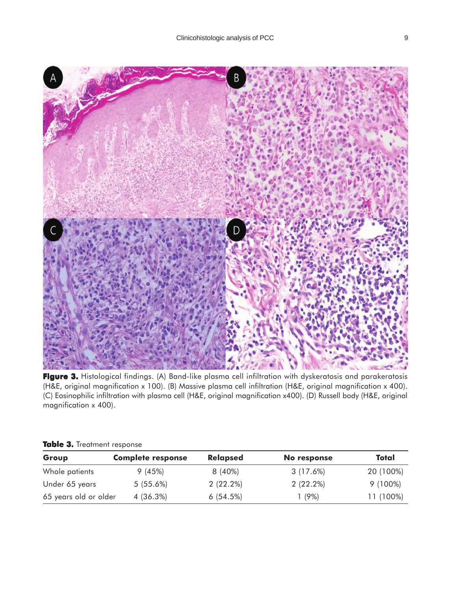

**Figure 3.** Histological findings. (A) Band-like plasma cell infiltration with dyskeratosis and parakeratosis (H&E, original magnification x 100). (B) Massive plasma cell infiltration (H&E, original magnification x 400). (C) Eosinophilic infiltration with plasma cell (H&E, original magnification x400). (D) Russell body (H&E, original magnification x 400).

| Group                 | <b>Complete response</b> | <b>Relapsed</b> | No response | Total      |
|-----------------------|--------------------------|-----------------|-------------|------------|
| Whole patients        | 9(45%)                   | 8 (40%)         | 3 (17.6%)   | 20 (100%)  |
| Under 65 years        | $5(55.6\%)$              | $2(22.2\%)$     | $2(22.2\%)$ | $9(100\%)$ |
| 65 years old or older | 4 (36.3%)                | 6(54.5%)        | $(9\%)$     | 11 (100%)  |

### Table 3. Treatment response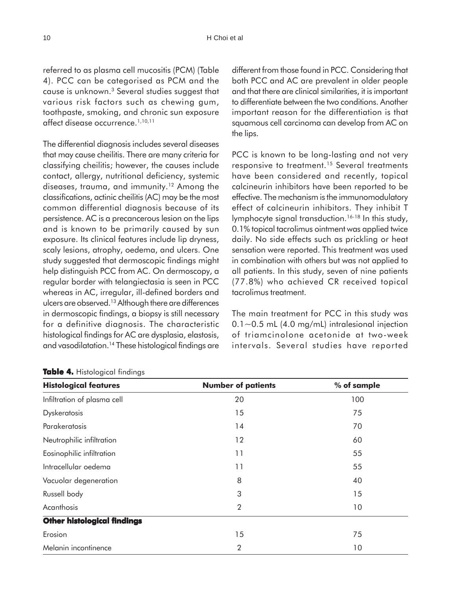referred to as plasma cell mucositis (PCM) (Table 4). PCC can be categorised as PCM and the cause is unknown.3 Several studies suggest that various risk factors such as chewing gum, toothpaste, smoking, and chronic sun exposure affect disease occurrence.<sup>1,10,11</sup>

The differential diagnosis includes several diseases that may cause cheilitis. There are many criteria for classifying cheilitis; however, the causes include contact, allergy, nutritional deficiency, systemic diseases, trauma, and immunity.12 Among the classifications, actinic cheilitis (AC) may be the most common differential diagnosis because of its persistence. AC is a precancerous lesion on the lips and is known to be primarily caused by sun exposure. Its clinical features include lip dryness, scaly lesions, atrophy, oedema, and ulcers. One study suggested that dermoscopic findings might help distinguish PCC from AC. On dermoscopy, a regular border with telangiectasia is seen in PCC whereas in AC, irregular, ill-defined borders and ulcers are observed.13 Although there are differences in dermoscopic findings, a biopsy is still necessary for a definitive diagnosis. The characteristic histological findings for AC are dysplasia, elastosis, and vasodilatation.14 These histological findings are

#### **Table 4.** Histological findings

different from those found in PCC. Considering that both PCC and AC are prevalent in older people and that there are clinical similarities, it is important to differentiate between the two conditions. Another important reason for the differentiation is that squamous cell carcinoma can develop from AC on the lips.

PCC is known to be long-lasting and not very responsive to treatment.<sup>15</sup> Several treatments have been considered and recently, topical calcineurin inhibitors have been reported to be effective. The mechanism is the immunomodulatory effect of calcineurin inhibitors. They inhibit T lymphocyte signal transduction.<sup>16-18</sup> In this study, 0.1% topical tacrolimus ointment was applied twice daily. No side effects such as prickling or heat sensation were reported. This treatment was used in combination with others but was not applied to all patients. In this study, seven of nine patients (77.8%) who achieved CR received topical tacrolimus treatment.

The main treatment for PCC in this study was  $0.1 \sim 0.5$  mL (4.0 mg/mL) intralesional injection of triamcinolone acetonide at two-week intervals. Several studies have reported

| <b>Histological features</b>       | <b>Number of patients</b> | % of sample |
|------------------------------------|---------------------------|-------------|
| Infiltration of plasma cell        | 20                        | 100         |
| <b>Dyskeratosis</b>                | 15                        | 75          |
| Parakeratosis                      | 14                        | 70          |
| Neutrophilic infiltration          | 12                        | 60          |
| Eosinophilic infiltration          | 11                        | 55          |
| Intracellular oedema               | 11                        | 55          |
| Vacuolar degeneration              | 8                         | 40          |
| Russell body                       | 3                         | 15          |
| Acanthosis                         | $\overline{2}$            | 10          |
| <b>Other histological findings</b> |                           |             |
| Erosion                            | 15                        | 75          |
| Melanin incontinence               | $\overline{2}$            | 10          |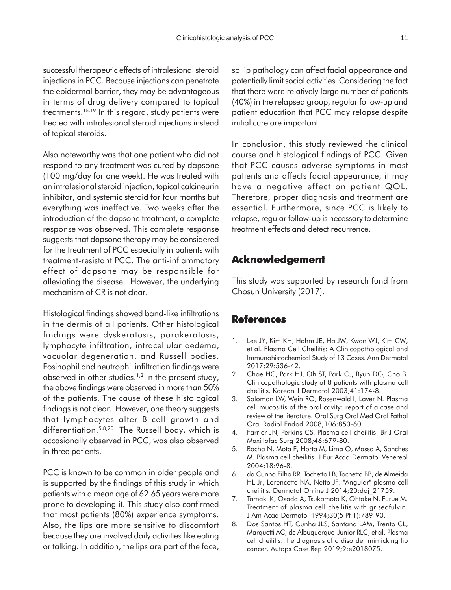successful therapeutic effects of intralesional steroid injections in PCC. Because injections can penetrate the epidermal barrier, they may be advantageous in terms of drug delivery compared to topical treatments.15,19 In this regard, study patients were treated with intralesional steroid injections instead of topical steroids.

Also noteworthy was that one patient who did not respond to any treatment was cured by dapsone (100 mg/day for one week). He was treated with an intralesional steroid injection, topical calcineurin inhibitor, and systemic steroid for four months but everything was ineffective. Two weeks after the introduction of the dapsone treatment, a complete response was observed. This complete response suggests that dapsone therapy may be considered for the treatment of PCC especially in patients with treatment-resistant PCC. The anti-inflammatory effect of dapsone may be responsible for alleviating the disease. However, the underlying mechanism of CR is not clear.

Histological findings showed band-like infiltrations in the dermis of all patients. Other histological findings were dyskeratosis, parakeratosis, lymphocyte infiltration, intracellular oedema, vacuolar degeneration, and Russell bodies. Eosinophil and neutrophil infiltration findings were observed in other studies.<sup>1,2</sup> In the present study, the above findings were observed in more than 50% of the patients. The cause of these histological findings is not clear. However, one theory suggests that lymphocytes alter B cell growth and differentiation.5,8,20 The Russell body, which is occasionally observed in PCC, was also observed in three patients.

PCC is known to be common in older people and is supported by the findings of this study in which patients with a mean age of 62.65 years were more prone to developing it. This study also confirmed that most patients (80%) experience symptoms. Also, the lips are more sensitive to discomfort because they are involved daily activities like eating or talking. In addition, the lips are part of the face,

so lip pathology can affect facial appearance and potentially limit social activities. Considering the fact that there were relatively large number of patients (40%) in the relapsed group, regular follow-up and patient education that PCC may relapse despite initial cure are important.

In conclusion, this study reviewed the clinical course and histological findings of PCC. Given that PCC causes adverse symptoms in most patients and affects facial appearance, it may have a negative effect on patient QOL. Therefore, proper diagnosis and treatment are essential. Furthermore, since PCC is likely to relapse, regular follow-up is necessary to determine treatment effects and detect recurrence.

# **Acknowledgement**

This study was supported by research fund from Chosun University (2017).

## **References**

- 1. Lee JY, Kim KH, Hahm JE, Ha JW, Kwon WJ, Kim CW, et al. Plasma Cell Cheilitis: A Clinicopathological and Immunohistochemical Study of 13 Cases. Ann Dermatol 2017;29:536-42.
- 2. Choe HC, Park HJ, Oh ST, Park CJ, Byun DG, Cho B. Clinicopathologic study of 8 patients with plasma cell cheilitis. Korean J Dermatol 2003;41:174-8.
- 3. Solomon LW, Wein RO, Rosenwald I, Laver N. Plasma cell mucositis of the oral cavity: report of a case and review of the literature. Oral Surg Oral Med Oral Pathol Oral Radiol Endod 2008;106:853-60.
- 4. Farrier JN, Perkins CS. Plasma cell cheilitis. Br J Oral Maxillofac Surg 2008;46:679-80.
- 5. Rocha N, Mota F, Horta M, Lima O, Massa A, Sanches M. Plasma cell cheilitis. J Eur Acad Dermatol Venereol 2004;18:96-8.
- 6. da Cunha Filho RR, Tochetto LB, Tochetto BB, de Almeida HL Jr, Lorencette NA, Netto JF. "Angular" plasma cell cheilitis. Dermatol Online J 2014;20:doj\_21759.
- 7. Tamaki K, Osada A, Tsukamoto K, Ohtake N, Furue M. Treatment of plasma cell cheilitis with griseofulvin. J Am Acad Dermatol 1994;30(5 Pt 1):789-90.
- 8. Dos Santos HT, Cunha JLS, Santana LAM, Trento CL, Marquetti AC, de Albuquerque-Junior RLC, et al. Plasma cell cheilitis: the diagnosis of a disorder mimicking lip cancer. Autops Case Rep 2019;9:e2018075.